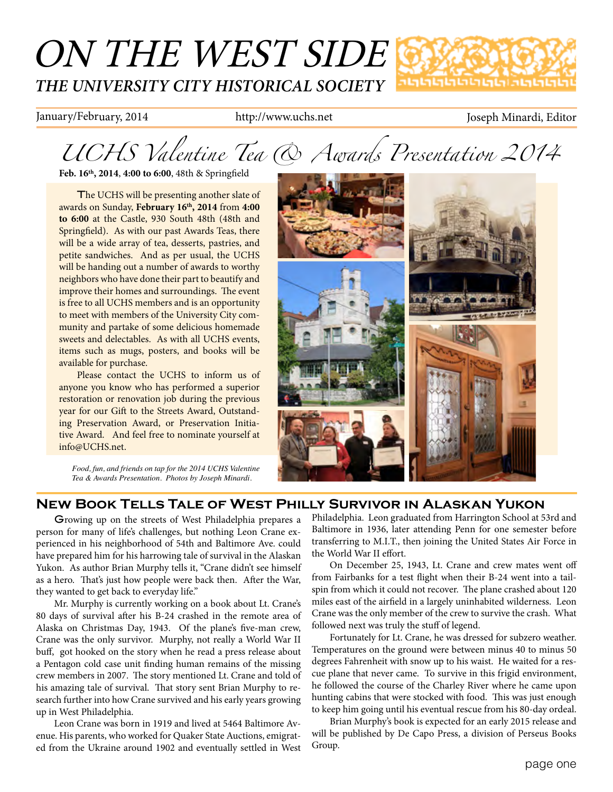## ON THE WEST SIDE *THE UNIVERSITY CITY HISTORICAL SOCIETY* տտելերտելել

January/February, 2014 http://www.uchs.net Joseph Minardi, Editor

*UCHS Valentine Tea & Awards Presentation 2014*

**Feb. 16th, 2014**, **4:00 to 6:00**, 48th & Springfield

The UCHS will be presenting another slate of awards on Sunday, **February 16th, 2014** from **4:00 to 6:00** at the Castle, 930 South 48th (48th and Springfield). As with our past Awards Teas, there will be a wide array of tea, desserts, pastries, and petite sandwiches. And as per usual, the UCHS will be handing out a number of awards to worthy neighbors who have done their part to beautify and improve their homes and surroundings. The event is free to all UCHS members and is an opportunity to meet with members of the University City community and partake of some delicious homemade sweets and delectables. As with all UCHS events, items such as mugs, posters, and books will be available for purchase.

Please contact the UCHS to inform us of anyone you know who has performed a superior restoration or renovation job during the previous year for our Gift to the Streets Award, Outstanding Preservation Award, or Preservation Initiative Award. And feel free to nominate yourself at info@UCHS.net.

*Food, fun, and friends on tap for the 2014 UCHS Valentine Tea & Awards Presentation. Photos by Joseph Minardi.*



### **New Book Tells Tale of West Philly Survivor in Alaskan Yukon**

Growing up on the streets of West Philadelphia prepares a person for many of life's challenges, but nothing Leon Crane experienced in his neighborhood of 54th and Baltimore Ave. could have prepared him for his harrowing tale of survival in the Alaskan Yukon. As author Brian Murphy tells it, "Crane didn't see himself as a hero. That's just how people were back then. After the War, they wanted to get back to everyday life."

Mr. Murphy is currently working on a book about Lt. Crane's 80 days of survival after his B-24 crashed in the remote area of Alaska on Christmas Day, 1943. Of the plane's five-man crew, Crane was the only survivor. Murphy, not really a World War II buff, got hooked on the story when he read a press release about a Pentagon cold case unit finding human remains of the missing crew members in 2007. The story mentioned Lt. Crane and told of his amazing tale of survival. That story sent Brian Murphy to research further into how Crane survived and his early years growing up in West Philadelphia.

Leon Crane was born in 1919 and lived at 5464 Baltimore Avenue. His parents, who worked for Quaker State Auctions, emigrated from the Ukraine around 1902 and eventually settled in West

Philadelphia. Leon graduated from Harrington School at 53rd and Baltimore in 1936, later attending Penn for one semester before transferring to M.I.T., then joining the United States Air Force in the World War II effort.

On December 25, 1943, Lt. Crane and crew mates went off from Fairbanks for a test flight when their B-24 went into a tailspin from which it could not recover. The plane crashed about 120 miles east of the airfield in a largely uninhabited wilderness. Leon Crane was the only member of the crew to survive the crash. What followed next was truly the stuff of legend.

Fortunately for Lt. Crane, he was dressed for subzero weather. Temperatures on the ground were between minus 40 to minus 50 degrees Fahrenheit with snow up to his waist. He waited for a rescue plane that never came. To survive in this frigid environment, he followed the course of the Charley River where he came upon hunting cabins that were stocked with food. This was just enough to keep him going until his eventual rescue from his 80-day ordeal.

Brian Murphy's book is expected for an early 2015 release and will be published by De Capo Press, a division of Perseus Books Group.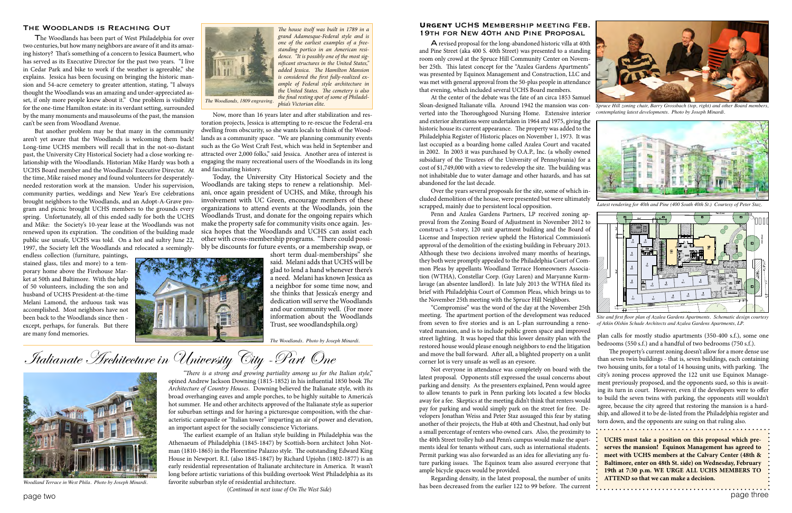# Italianate Architecture in University City -Part One

*"There is a strong and growing partiality among us for the Italian style*," opined Andrew Jackson Downing (1815-1852) in his influential 1850 book *The Architecture of Country Houses*. Downing believed the Italianate style, with its broad overhanging eaves and ample porches, to be highly suitable to America's hot summer. He and other architects approved of the Italianate style as superior for suburban settings and for having a picturesque composition, with the characteristic campanile or "Italian tower" imparting an air of power and elevation, an important aspect for the socially conscience Victorians.

The earliest example of an Italian style building in Philadelphia was the Athenaeum of Philadelphia (1845-1847) by Scottish-born architect John Notman (1810-1865) in the Florentine Palazzo style. The outstanding Edward King House in Newport. R.I. (also 1845-1847) by Richard Upjohn (1802-1877) is an early residential representation of Italianate architecture in America. It wasn't long before artistic variations of this building overtook West Philadelphia as its favorite suburban style of residential architecture.

(*Continued in next issue of On The West Side*)



*Woodland Terrace in West Phila. Photo by Joseph Minardi.*

#### **Urgent** UCHS Membership meeting Feb. 19th for New 40th and Pine Proposal

A revised proposal for the long-abandoned historic villa at 40th and Pine Street (aka 400 S. 40th Street) was presented to a standing room only crowd at the Spruce Hill Community Center on November 25th. This latest concept for the "Azalea Gardens Apartments" was presented by Equinox Management and Construction, LLC and was met with general approval from the 50-plus people in attendance that evening, which included several UCHS Board members.

At the center of the debate was the fate of an circa 1853 Samuel Sloan-designed Italianate villa. Around 1942 the mansion was converted into the Thoroughgood Nursing Home. Extensive interior and exterior alterations were undertaken in 1964 and 1975, giving the historic house its current appearance. The property was added to the Philadelphia Register of Historic places on November 1, 1973. It was last occupied as a boarding home called Azalea Court and vacated in 2002. In 2003 it was purchased by O.A.P., Inc. (a wholly owned subsidiary of the Trustees of the University of Pennsylvania) for a cost of \$1,749,000 with a view to redevelop the site. The building was not inhabitable due to water damage and other hazards, and has sat abandoned for the last decade.

The property's current zoning doesn't allow for a more dense use and move the ball forward. After all, a blighted property on a unlit than seven twin buildings - that is, seven buildings, each containing corner lot is very unsafe as well as an eyesore. two housing units, for a total of 14 housing units, with parking. The Not everyone in attendance was completely on board with the city's zoning process approved the 122 unit use Equinox Managelatest proposal. Opponents still expressed the usual concerns about ment previously proposed, and the opponents sued, so this is awaitparking and density. As the presenters explained, Penn would agree ing its turn in court. However, even if the developers were to offer to allow tenants to park in Penn parking lots located a few blocks to build the seven twins with parking, the opponents still wouldn't away for a fee. Skeptics at the meeting didn't think that renters would agree, because the city agreed that restoring the mansion is a hardpay for parking and would simply park on the street for free. Deship, and allowed it to be de-listed from the Philadelphia register and velopers Jonathan Weiss and Peter Staz assuaged this fear by stating torn down, and the opponents are suing on that ruling also. another of their projects, the Hub at 40th and Chestnut, had only but a small percentage of renters who owned cars. Also, the proximity to the 40th Street trolley hub and Penn's campus would make the apart-**UCHS must take a position on this proposal which pre**ments ideal for tenants without cars, such as international students. **serves the mansion! Equinox Management has agreed to meet with UCHS members at the Calvary Center (48th &**  Permit parking was also forwarded as an idea for alleviating any future parking issues. The Equinox team also assured everyone that **Baltimore, enter on 48th St. side) on Wednesday, February**  ample bicycle spaces would be provided. **19th at 7:30 p.m. WE URGE ALL UCHS MEMBERS TO**  Regarding density, in the latest proposal, the number of units **ATTEND so that we can make a decision.**

Over the years several proposals for the site, some of which included demolition of the house, were presented but were ultimately scrapped, mainly due to persistent local opposition.



*Spruce Hill zoning chair, Barry Grossbach (top, right) and other Board members, contemplating latest developments. Photo by Joseph Minardi.*

Penn and Azalea Gardens Partners, LP received zoning approval from the Zoning Board of Adjustment in November 2012 to construct a 5-story, 120 unit apartment building and the Board of License and Inspection review upheld the Historical Commission's approval of the demolition of the existing building in February 2013. Although these two decisions involved many months of hearings, they both were promptly appealed to the Philadelphia Court of Common Pleas by appellants Woodland Terrace Homeowners Association (WTHA), Constellar Corp. (Guy Laren) and Maryanne Kurmlavage (an absentee landlord). In late July 2013 the WTHA filed its brief with Philadelphia Court of Common Pleas, which brings us to the November 25th meeting with the Spruce Hill Neighbors.

"Compromise" was the word of the day at the November 25th meeting. The apartment portion of the development was reduced from seven to five stories and is an L-plan surrounding a renovated mansion, and is to include public green space and improved street lighting. It was hoped that this lower density plan with the restored house would please enough neighbors to end the litigation

has been decreased from the earlier 122 to 99 before. The current

plan calls for mostly studio apartments (350-400 s.f.), some one bedrooms (550 s.f.) and a handful of two bedrooms (750 s.f.).



*Latest rendering for 40th and Pine (400 South 40th St.) Courtesy of Peter Staz.*

#### The Woodlands is Reaching Out

The Woodlands has been part of West Philadelphia for over two centuries, but how many neighbors are aware of it and its amazing history? That's something of a concern to Jessica Baumert, who has served as its Executive Director for the past two years. "I live in Cedar Park and bike to work if the weather is agreeable," she explains. Jessica has been focusing on bringing the historic mansion and 54-acre cemetery to greater attention, stating, "I always thought the Woodlands was an amazing and under-appreciated asset, if only more people knew about it." One problem is visibility for the one-time Hamilton estate: in its verdant setting, surrounded by the many monuments and mausoleums of the past, the mansion can't be seen from Woodland Avenue.

But another problem may be that many in the community aren't yet aware that the Woodlands is welcoming them back! Long-time UCHS members will recall that in the not-so-distant past, the University City Historical Society had a close working relationship with the Woodlands. Historian Mike Hardy was both a UCHS Board member and the Woodlands' Executive Director. At the time, Mike raised money and found volunteers for desperatelyneeded restoration work at the mansion. Under his supervision, community parties, weddings and New Year's Eve celebrations brought neighbors to the Woodlands, and an Adopt-A-Grave program and picnic brought UCHS members to the grounds every spring. Unfortunately, all of this ended sadly for both the UCHS and Mike: the Society's 10-year lease at the Woodlands was not renewed upon its expiration. The condition of the building made public use unsafe, UCHS was told. On a hot and sultry June 22, 1997, the Society left the Woodlands and relocated a seemingly-

endless collection (furniture, paintings, stained glass, tiles and more) to a temporary home above the Firehouse Market at 50th and Baltimore. With the help of 50 volunteers, including the son and husband of UCHS President-at-the-time Melani Lamond, the arduous task was accomplished. Most neighbors have not been back to the Woodlands since then except, perhaps, for funerals. But there are many fond memories.



Now, more than 16 years later and after stabilization and restoration projects, Jessica is attempting to re-rescue the Federal-era dwelling from obscurity, so she wants locals to think of the Woodlands as a community space. "We are planning community events such as the Go West Craft Fest, which was held in September and attracted over 2,000 folks," said Jessica. Another area of interest is engaging the many recreational users of the Woodlands in its long and fascinating history.

Today, the University City Historical Society and the Woodlands are taking steps to renew a relationship. Melani, once again president of UCHS, and Mike, through his involvement with UC Green, encourage members of these organizations to attend events at the Woodlands, join the Woodlands Trust, and donate for the ongoing repairs which make the property safe for community visits once again. Jessica hopes that the Woodlands and UCHS can assist each other with cross-membership programs. "There could possibly be discounts for future events, or a membership swap, or

short term dual-memberships" she said. Melani adds that UCHS will be glad to lend a hand whenever there's a need. Melani has known Jessica as a neighbor for some time now, and she thinks that Jessica's energy and dedication will serve the Woodlands and our community well. (For more information about the Woodlands Trust, see woodlandsphila.org)

*The Woodlands. Photo by Joseph Minardi.*



*Site and first floor plan of Azalea Gardens Apartments. Schematic design courtesy of Atkin Olshin Schade Architects and Azalea Gardens Apartments, LP.*

*The house itself was built in 1789 in a grand Adamesque-Federal style and is one of the earliest examples of a freestanding portico in an American residence. "It is possibly one of the most significant structures in the United States," added Jessica. The Hamilton Mansion is considered the first fully-realized example of Federal style architecture in the United States. The cemetery is also the final resting spot of some of Philadel-*

*phia's Victorian elite. The Woodlands, 1809 engraving.*